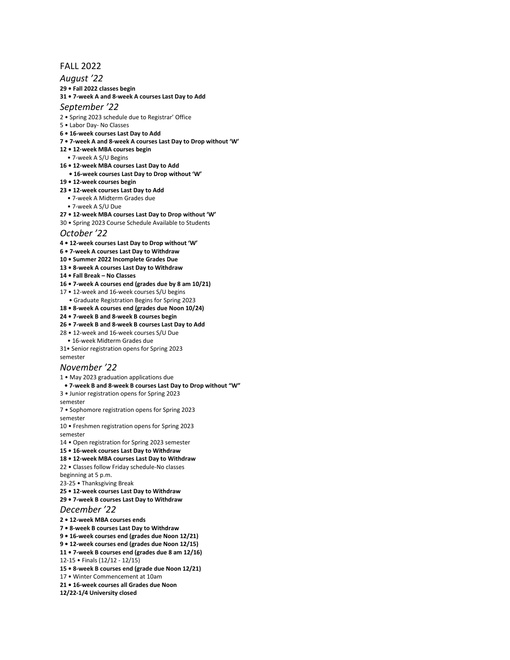# FALL 2022

### *August '22*

**29 • Fall 2022 classes begin** 

## **31 • 7-week A and 8-week A courses Last Day to Add**

#### *September '22*

- 2 Spring 2023 schedule due to Registrar' Office
- 5 Labor Day- No Classes
- **6 16-week courses Last Day to Add**
- **7 7-week A and 8-week A courses Last Day to Drop without 'W'**
- **12 12-week MBA courses begin**
- 7-week A S/U Begins
- **16 12-week MBA courses Last Day to Add**
- **16-week courses Last Day to Drop without 'W'**
- **19 12-week courses begin**
- **23 12-week courses Last Day to Add**
	- 7-week A Midterm Grades due
- 7-week A S/U Due
- **27 12-week MBA courses Last Day to Drop without 'W'**
- 30 Spring 2023 Course Schedule Available to Students

#### *October '22*

- **4 12-week courses Last Day to Drop without 'W'**
- **6 7-week A courses Last Day to Withdraw**
- **10 Summer 2022 Incomplete Grades Due**
- **13 8-week A courses Last Day to Withdraw**
- **14 Fall Break No Classes**
- **16 7-week A courses end (grades due by 8 am 10/21)**
- 17 12-week and 16-week courses S/U begins
- Graduate Registration Begins for Spring 2023
- **18 8-week A courses end (grades due Noon 10/24)**
- **24 7-week B and 8-week B courses begin**
- **26 7-week B and 8-week B courses Last Day to Add**
- 28 12-week and 16-week courses S/U Due
- 16-week Midterm Grades due
- 31• Senior registration opens for Spring 2023

# semester

# *November '22*

- 1 May 2023 graduation applications due
- **7-week B and 8-week B courses Last Day to Drop without "W"**

3 • Junior registration opens for Spring 2023

semester

7 • Sophomore registration opens for Spring 2023

semester 10 • Freshmen registration opens for Spring 2023

- semester
- 14 Open registration for Spring 2023 semester
- **15 16-week courses Last Day to Withdraw**
- **18 12-week MBA courses Last Day to Withdraw**

22 • Classes follow Friday schedule-No classes beginning at 5 p.m.

- 23-25 Thanksgiving Break
- **25 12-week courses Last Day to Withdraw**
- **29 7-week B courses Last Day to Withdraw**

#### *December '22*

**2 • 12-week MBA courses ends** 

- **7 8-week B courses Last Day to Withdraw**
- **9 16-week courses end (grades due Noon 12/21)**
- **9 12-week courses end (grades due Noon 12/15)**
- **11 7-week B courses end (grades due 8 am 12/16)**
- 12-15 Finals (12/12 12/15)
- **15 8-week B courses end (grade due Noon 12/21)**
- 17 Winter Commencement at 10am
- **21 16-week courses all Grades due Noon**
- **12/22-1/4 University closed**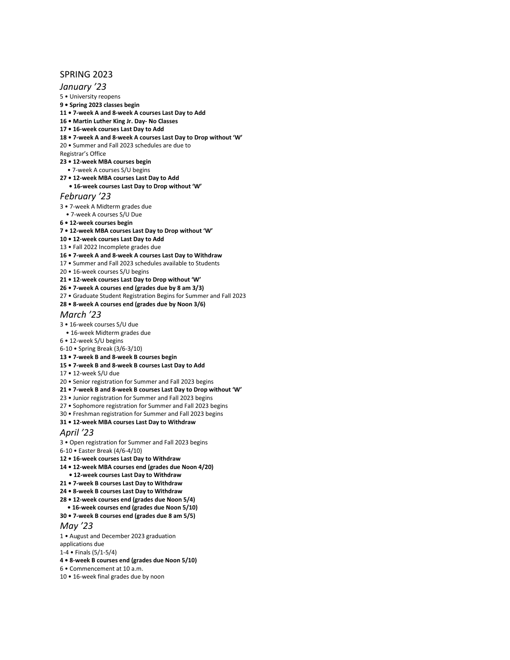# SPRING 2023

# *January '23*

5 • University reopens

- **9 Spring 2023 classes begin**
- **11 7-week A and 8-week A courses Last Day to Add**
- **16 Martin Luther King Jr. Day- No Classes**
- **17 16-week courses Last Day to Add**
- **18 7-week A and 8-week A courses Last Day to Drop without 'W'**
- 20 Summer and Fall 2023 schedules are due to
- Registrar's Office
- **23 12-week MBA courses begin**
	- 7-week A courses S/U begins
- **27 12-week MBA courses Last Day to Add**
- **16-week courses Last Day to Drop without 'W'**

# *February '23*

- 3 7-week A Midterm grades due
- 7-week A courses S/U Due
- **6 12-week courses begin**
- **7 12-week MBA courses Last Day to Drop without 'W'**
- **10 12-week courses Last Day to Add**
- 13 Fall 2022 Incomplete grades due
- **16 7-week A and 8-week A courses Last Day to Withdraw**
- 17 Summer and Fall 2023 schedules available to Students
- 20 16-week courses S/U begins
- **21 12-week courses Last Day to Drop without 'W'**
- **26 7-week A courses end (grades due by 8 am 3/3)**
- 27 Graduate Student Registration Begins for Summer and Fall 2023
- **28 8-week A courses end (grades due by Noon 3/6)**

#### *March '23*

- 3 16-week courses S/U due
- 16-week Midterm grades due
- 6 12-week S/U begins
- 6-10 Spring Break (3/6-3/10)
- **13 7-week B and 8-week B courses begin**
- **15 7-week B and 8-week B courses Last Day to Add**
- 17 12-week S/U due
- 20 Senior registration for Summer and Fall 2023 begins
- **21 7-week B and 8-week B courses Last Day to Drop without 'W'**
- 23 Junior registration for Summer and Fall 2023 begins
- 27 Sophomore registration for Summer and Fall 2023 begins
- 30 Freshman registration for Summer and Fall 2023 begins
- **31 12-week MBA courses Last Day to Withdraw**

## *April '23*

- 3 Open registration for Summer and Fall 2023 begins
- 6-10 Easter Break (4/6-4/10)
- **12 16-week courses Last Day to Withdraw**
- **14 12-week MBA courses end (grades due Noon 4/20)**
- **12-week courses Last Day to Withdraw**
- **21 • 7-week B courses Last Day to Withdraw**
- **24 8-week B courses Last Day to Withdraw**
- **28 12-week courses end (grades due Noon 5/4)**
- **16-week courses end (grades due Noon 5/10)**
- **30 7-week B courses end (grades due 8 am 5/5)**

#### *May '23*

- 1 August and December 2023 graduation
- applications due
- 1-4 Finals (5/1-5/4)
- **4 8-week B courses end (grades due Noon 5/10)**
- 6 Commencement at 10 a.m.
- 10 16-week final grades due by noon